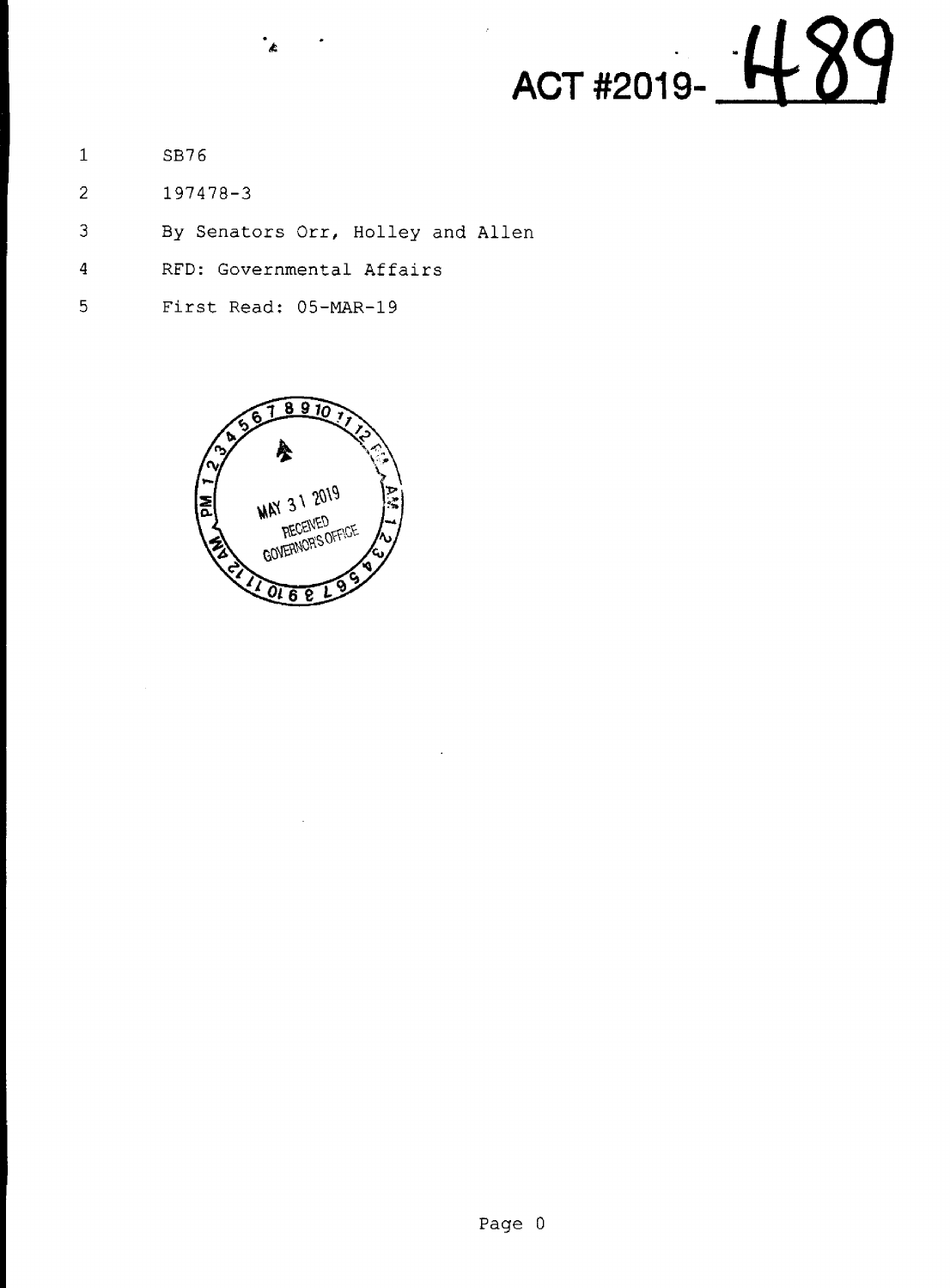

 $\mathbf{1}$ SB76

and the contract of the contract of the

- $\overline{2}$ 197478-3
- By Senators Orr, Holley and Allen 3
- RFD: Governmental Affairs  $\overline{4}$

.<br>ناه

5 First Read: OS—MAR—19

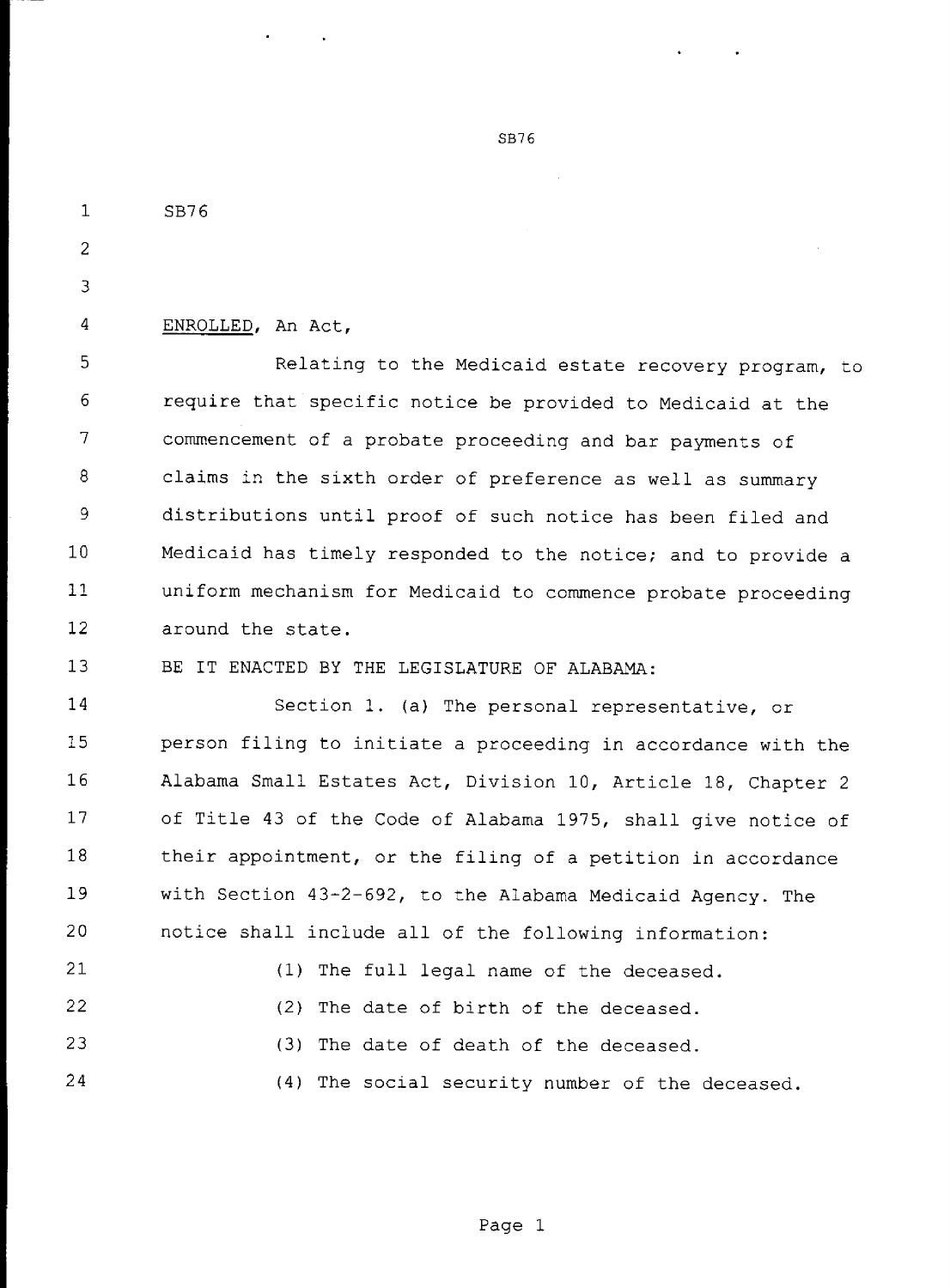$\mathbf{1}$ 

 $\overline{c}$ 

 $\overline{3}$ 

 $\overline{4}$ 

a sa sa na an an san

24

ENROLLED, An Act,

SB76

5 Relating to the Medicaid estate recovery program, to require that specific notice be provided to Medicaid at the 6 7 commencement of a probate proceeding and bar payments of 8 claims in the sixth order of preference as well as summary 9 distributions until proof of such notice has been filed and 10 Medicaid has timely responded to the notice; and to provide a ll uniform mechanism for Medicaid to commence probate proceeding 12 around the state.

13 BE IT ENACTED BY THE LEGISLATURE OF ALABAMA:

14 15 16 17 18 l9 20 21 22 23 Section 1. (a) The personal representative, or person filing to initiate a proceeding in accordance with the Alabama Small Estates Act, Division 10, Article 18, Chapter <sup>2</sup> of Title 43 of the Code of Alabama 1975, shall give notice of their appointment, or the filing of a petition in accordance with Section 43-2-692, to the Alabama Medicaid Agency. The notice shall include all of the following information: (1) The full legal name of the deceased. (2) The date of birth of the deceased. (3) The date of death of the deceased.

(4) The social security number of the deceased.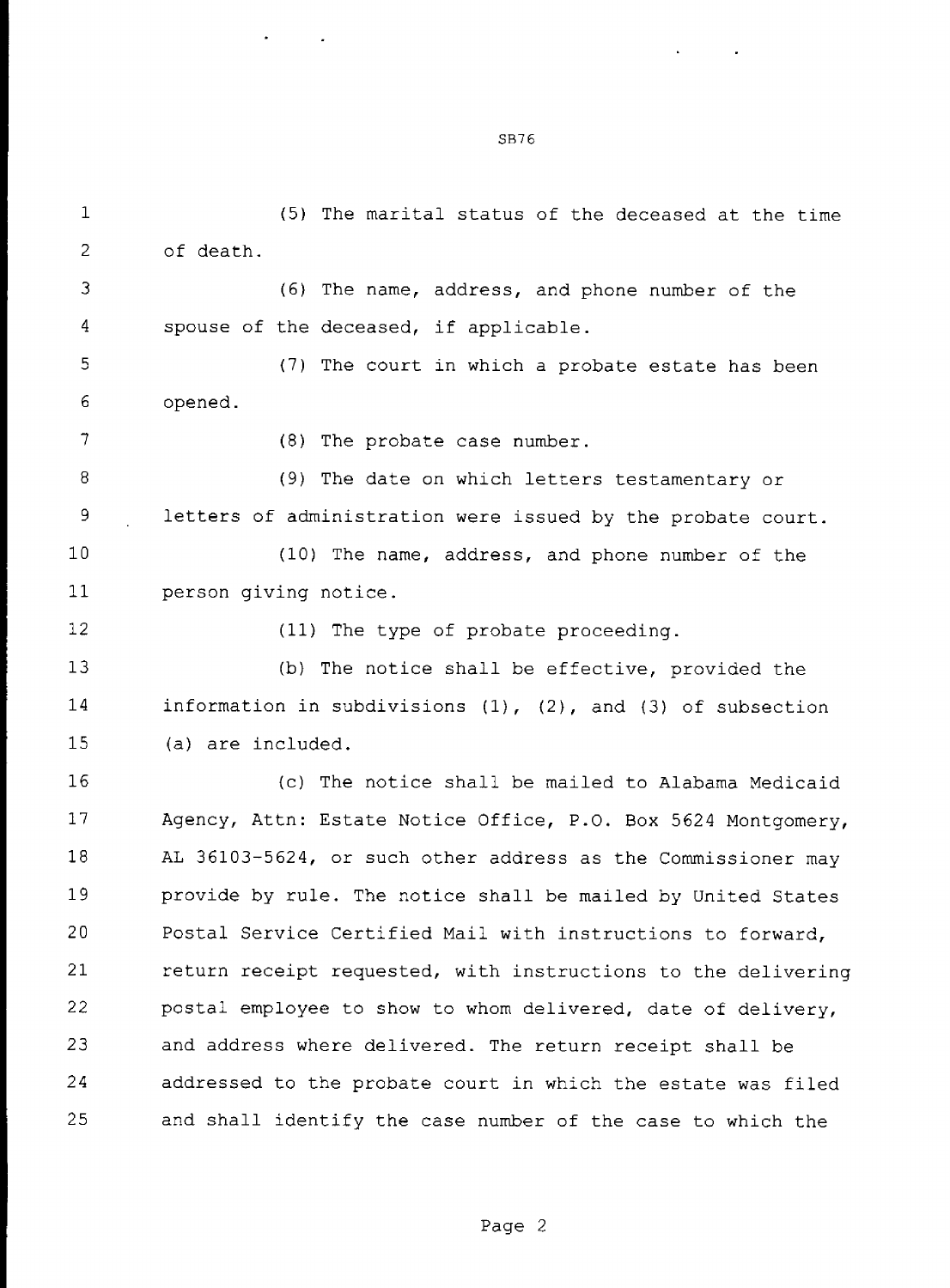$\mathbf{1}$ (5) The marital status of the deceased at the time  $\overline{2}$ of death. 3 (6) The name, address, and phone number of the 4 spouse of the deceased, if applicable. (7) The court in which a probate estate has been 5 6 opened.  $\overline{7}$ (8) The probate case number. 8 (9) The date on which letters testamentary or 9 letters of administration were issued by the probate court. 10 (10) The name, address, and phone number of the  $11$ person giving notice. 12 (11) The type of probate proceeding.  $13$ (b) The notice shall be effective, provided the 14 information in subdivisions (1), (2), and (3) of subsection 15 (a) are included. l6 (c) The notice shall be mailed to Alabama Medicaid 17 Agency, Attn: Estate Notice Office, P.O. Box 5624 Montgomery, 18 AL 36103—5624, or such other address as the Commissioner may 19 provide by rule. The notice shall be mailed by United States 20 Postal Service Certified Mail with instructions to forward, 21 return receipt requested, with instructions to the delivering 22 postal employee to show to whom delivered, date of delivery, 23 and address where delivered. The return receipt shall be 24 addressed to the probate court in which the estate was filed  $\mathbf{r} = \mathbf{r}$ 25

SB76

and shall identify the case number of the case to which the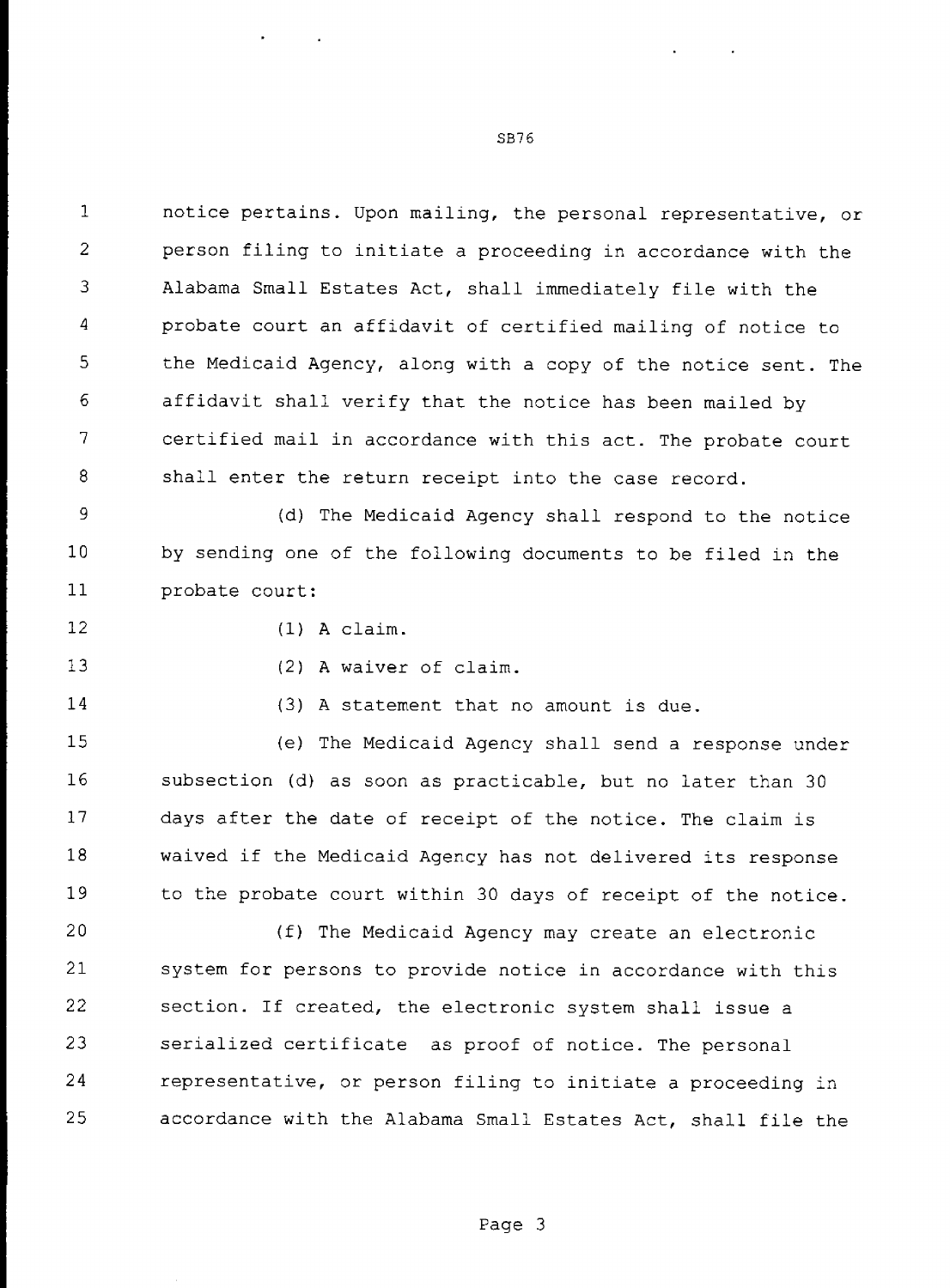$\mathbf{1}$ notice pertains. Upon mailing, the personal representative, or 2 person filing to initiate a proceeding in accordance with the 3 Alabama Small Estates Act, shall immediately file with the  $\Delta$ probate court an affidavit of certified mailing of notice to 5 the Medicaid Agency, along with a copy of the notice sent. The affidavit shall verify that the notice has been mailed by 6 7 certified mail in accordance with this act. The probate court 8 shall enter the return receipt into the case record.

9 (d) The Medicaid Agency shall respond to the notice 10 by sending one of the following documents to be filed in the probate court: ll

l2

(1) A claim.

(2) A waiver of claim.

14

l3

(3) A statement that no amount is due.

15 l6 17 18 19 (e) The Medicaid Agency shall send a response under subsection (d) as soon as practicable, but no later than 30 days after the date of receipt of the notice. The claim is waived if the Medicaid Agency has not delivered its response to the probate court within 30 days of receipt of the notice.

 $\mathbf{I}$  and  $\mathbf{I}$ 20 21 22 23 24 25 (f) The Medicaid Agency may create an electronic system for persons to provide notice in accordance with this section. If created, the electronic system shall issue a serialized certificate as proof of notice. The personal representative, or person filing to initiate a proceeding in accordance with the Alabama Small Estates Act, shall file the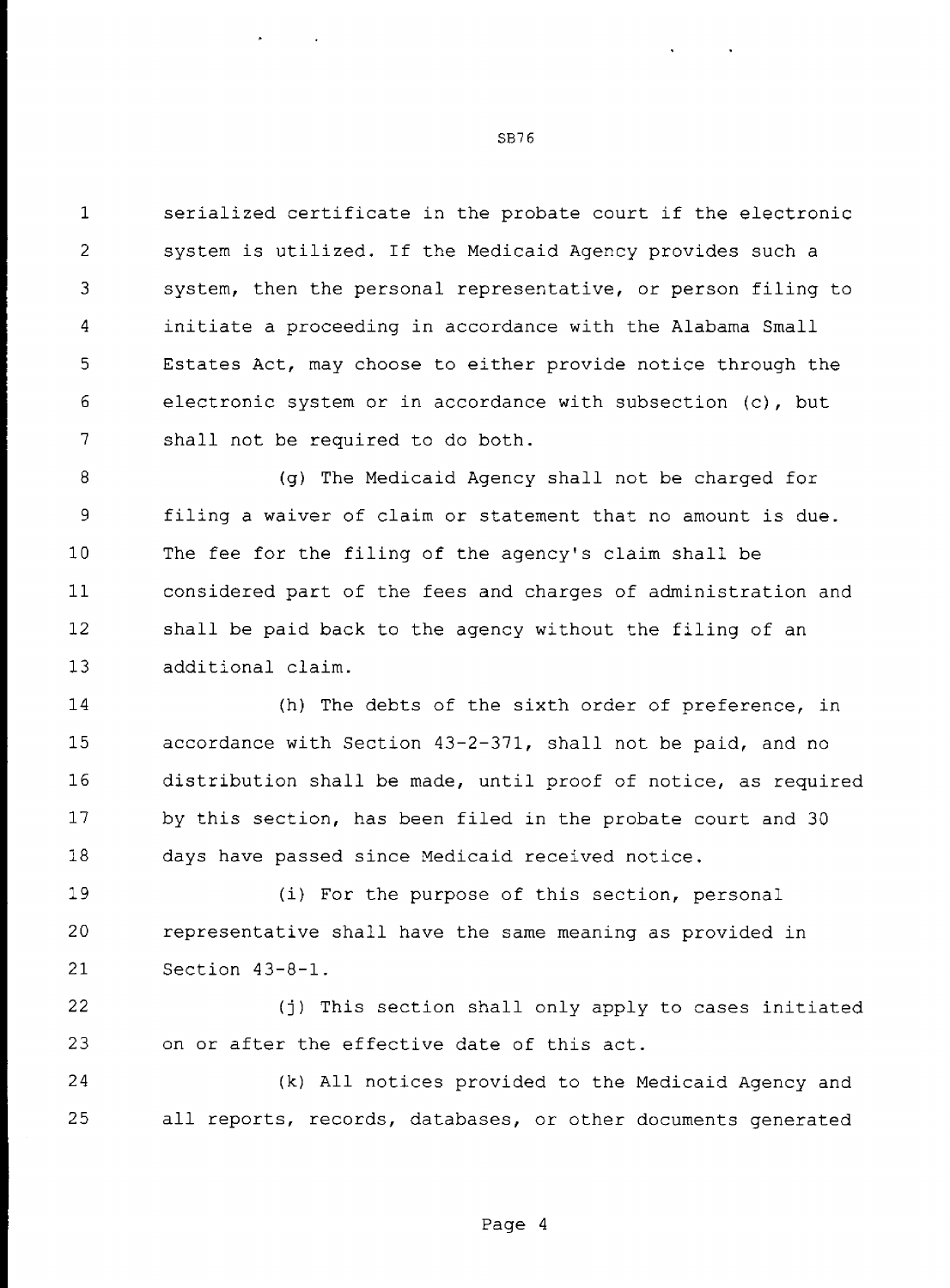$\mathbf{1}$ serialized certificate in the probate court if the electronic  $\overline{2}$ system is utilized. If the Medicaid Agency provides such a 3 system, then the personal representative, or person filing to initiate a proceeding in accordance with the Alabama Small 4 Estates Act, may choose to either provide notice through the 5 6 electronic system or in accordance with subsection (c), but 7 shall not be required to do both.

8 (g) The Medicaid Agency shall not be charged for 9 filing a waiver of claim or statement that no amount is due. 10 The fee for the filing of the agency's claim shall be  $11$ considered part of the fees and charges of administration and 12 shall be paid back to the agency without the filing of an 13 additional claim.

14 15 l6 l7 l8 (h) The debts of the sixth order of preference, in accordance with Section 43-2—371, shall not be paid, and no distribution shall be made, until proof of notice, as required by this section, has been filed in the probate court and 30 days have passed since Medicaid received notice.

19 20 21 (i) For the purpose of this section, personal representative shall have the same meaning as provided in Section 43-8-1.

22 23 (j) This section shall only apply to cases initiated on or after the effective date of this act.

24 25 (k) All notices provided to the Medicaid Agency and all reports, records, databases, or other documents generated

SB76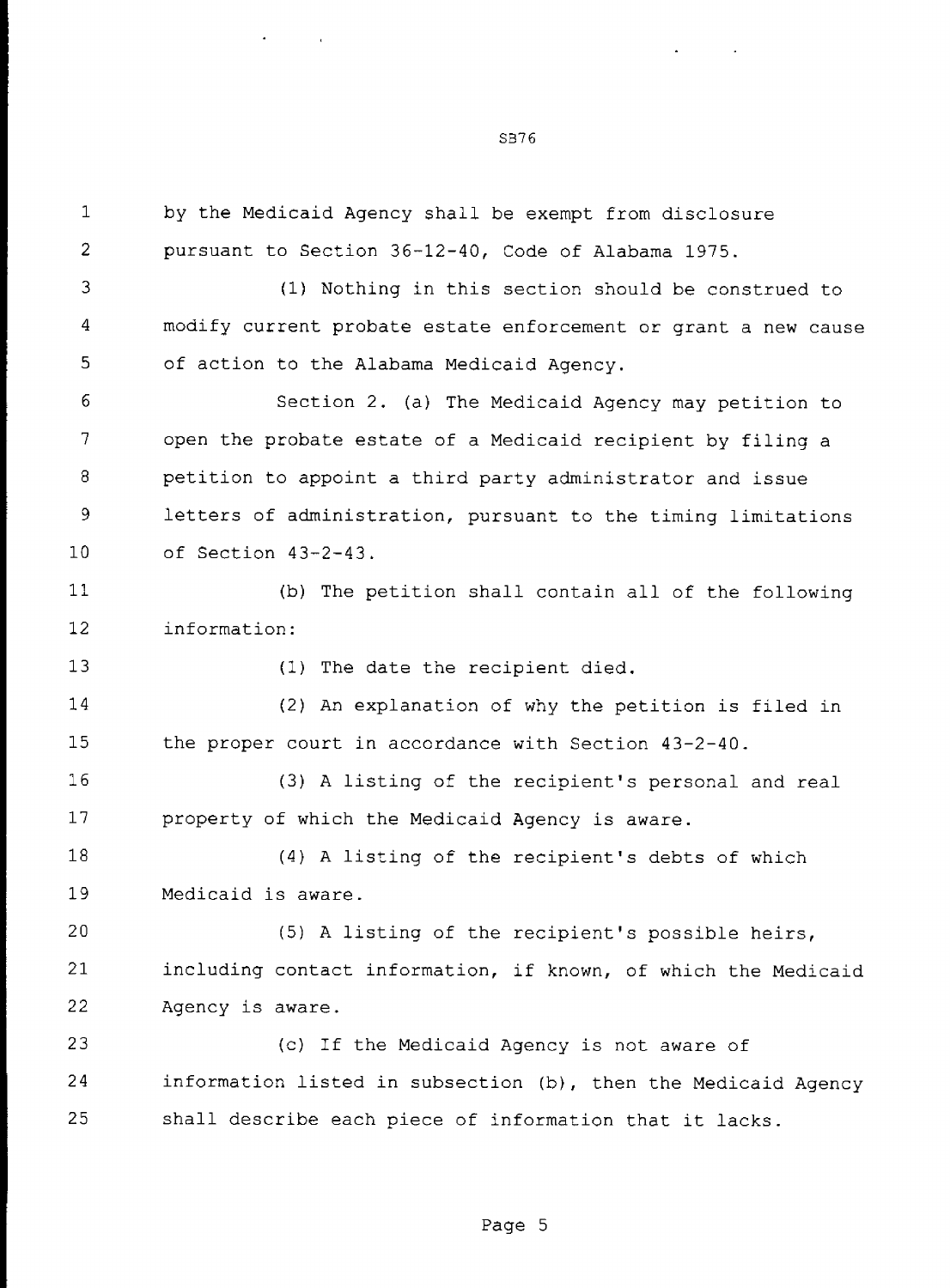$\mathbf{1}$ by the Medicaid Agency shall be exempt from disclosure  $\overline{2}$ pursuant to Section 36~12—40, Code of Alabama 1975. 3 (1) Nothing in this section should be construed to  $\overline{4}$ modify current probate estate enforcement or grant a new cause of action to the Alabama Medicaid Agency. 5 6 Section 2. (a) The Medicaid Agency may petition to  $\overline{7}$ open the probate estate of a Medicaid recipient by filing a petition to appoint a third party administrator and issue 8 9 letters of administration, pursuant to the timing limitations 10 of Section 43-2-43. (b) The petition shall contain all of the following 11 12 information: 13 (1) The date the recipient died. 14 (2) An explanation of why the petition is filed in 15 the proper court in accordance with Section 43-2—40. l6 (3) A listing of the recipient's personal and real 17 property of which the Medicaid Agency is aware. 18 (4) A listing of the recipient's debts of which 19 Medicaid is aware. 20 (5) A listing of the recipient's possible heirs, 21 including contact information, if known, of which the Medicaid 22 Agency is aware. 23 (c) If the Medicaid Agency is not aware of the contract of the contract of 24 information listed in subsection (b), then the Medicaid Agency 25 shall describe each piece of information that it lacks.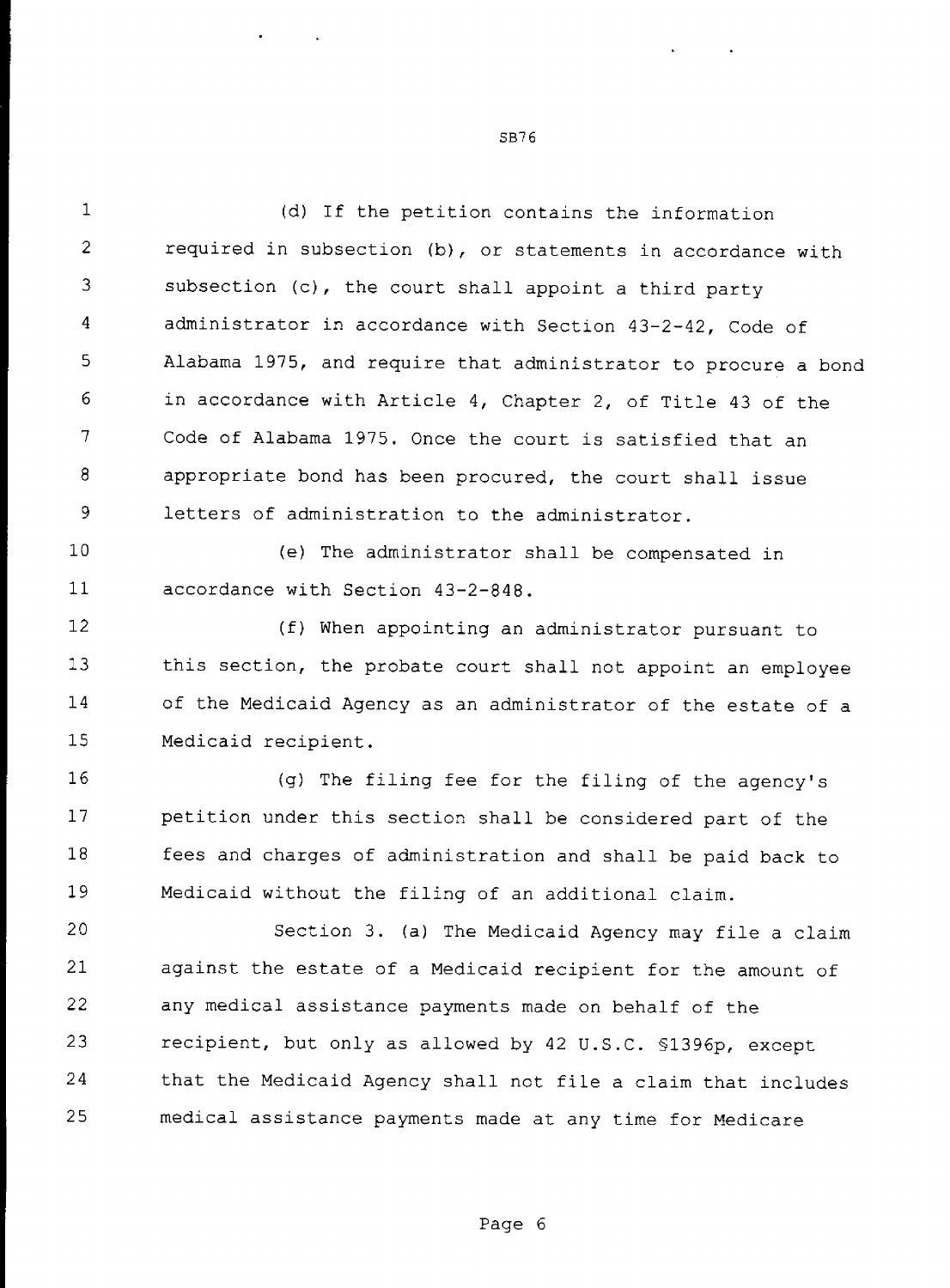$\mathbf{1}$ (d) If the petition contains the information  $\overline{2}$ required in subsection (b), or statements in accordance with subsection (c), the court shall appoint a third party 3 4 administrator in accordance with Section 43—2—42, Code of Alabama 1975, and require that administrator to procure <sup>a</sup> bond 5 in accordance with Article 4, Chapter 2, of Title 43 of the 6  $\overline{7}$ Code of Alabama 1975. Once the court is satisfied that an 8 appropriate bond has been procured, the court shall issue 9 letters of administration to the administrator. 10 (e) The administrator shall be compensated in

ll accordance with Section 43—2-848.

12 l3 14 15 (f) When appointing an administrator pursuant to this section, the probate court shall not appoint an employee of the Medicaid Agency as an administrator of the estate of a Medicaid recipient.

16 17 18 19 (g) The filing fee for the filing of the agency's petition under this section shall be considered part of the fees and charges of administration and shall be paid back to Medicaid without the filing of an additional claim.

20 21 22 23 24 25 Section 3. (a) The Medicaid Agency may file a claim against the estate of a Medicaid recipient for the amount of any medical assistance payments made on behalf of the recipient, but only as allowed by 42 U.S.C. §1396p, except that the Medicaid Agency shall not file a claim that includes medical assistance payments made at any time for Medicare

**Contract Contract Contract** 

SB76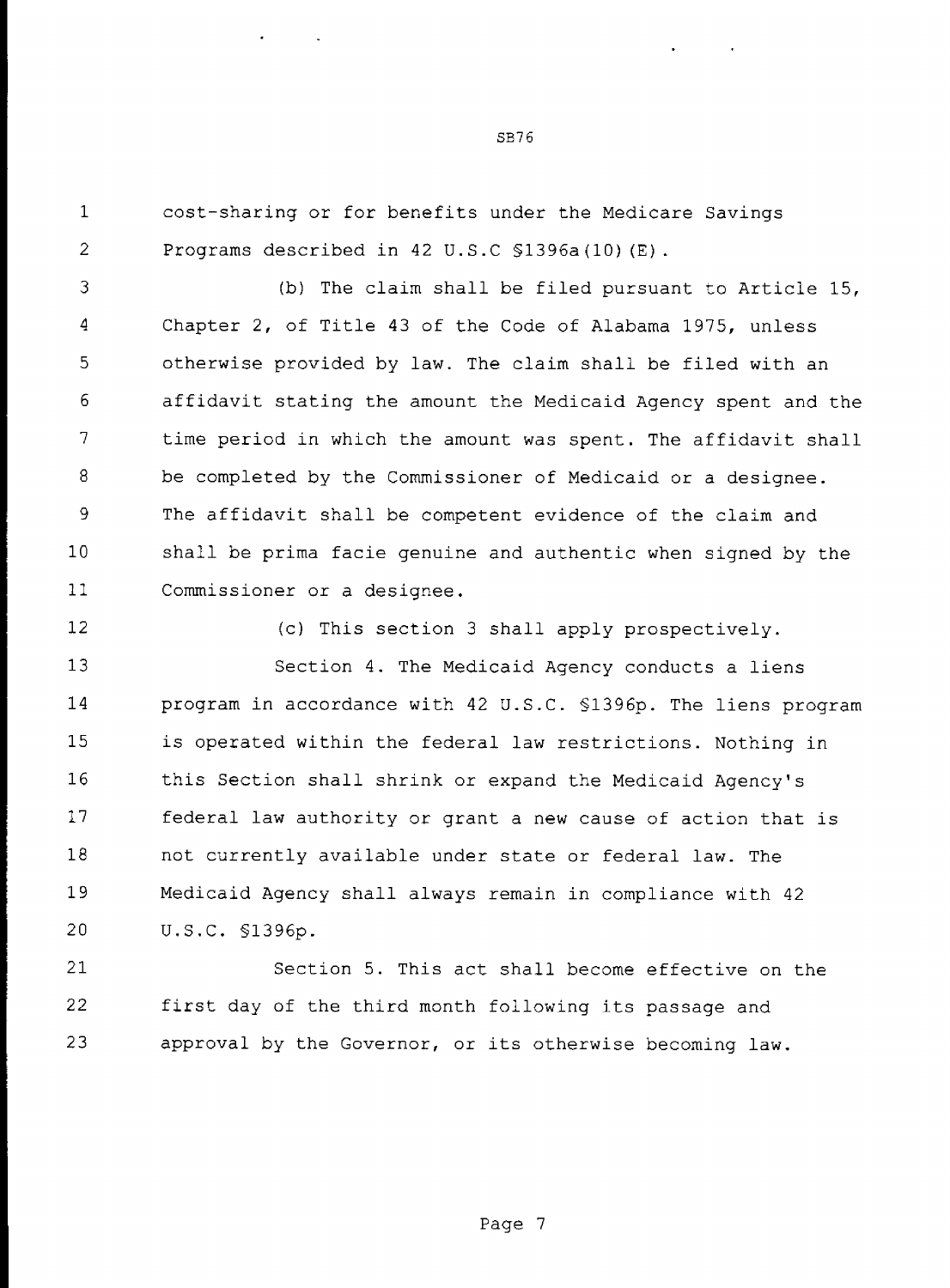$\mathbf{1}$ cost-sharing or for benefits under the Medicare Savings 2 Programs described in 42 U.S.C \$1396a(10)(E).

3 (b) The claim shall be filed pursuant to Article 15, 4 Chapter 2, of Title 43 of the Code of Alabama 1975, unless 5 otherwise provided by law. The claim shall be filed with an 6 affidavit stating the amount the Medicaid Agency spent and the 7 time period in which the amount was spent. The affidavit shall 8 be completed by the Commissioner of Medicaid or a designee. 9 The affidavit shall be competent evidence of the claim and 10 shall be prima facie genuine and authentic when signed by the ll Commissioner or a designee.

12

(c) This section <sup>3</sup> shall apply prospectively.

13 14 15 16 17 18 19 20 Section 4. The Medicaid Agency conducts a liens program in accordance with 42 U.S.C. §l396p. The liens program is operated within the federal law restrictions. Nothing in this Section shall shrink or expand the Medicaid Agency's federal law authority or grant a new cause of action that is not currently available under state or federal law. The Medicaid Agency shall always remain in compliance with 42 U.S.C. §1396p.

21 22 23 Section 5. This act shall become effective on the first day of the third month following its passage and approval by the Governor, or its otherwise becoming law.

SB<sub>76</sub>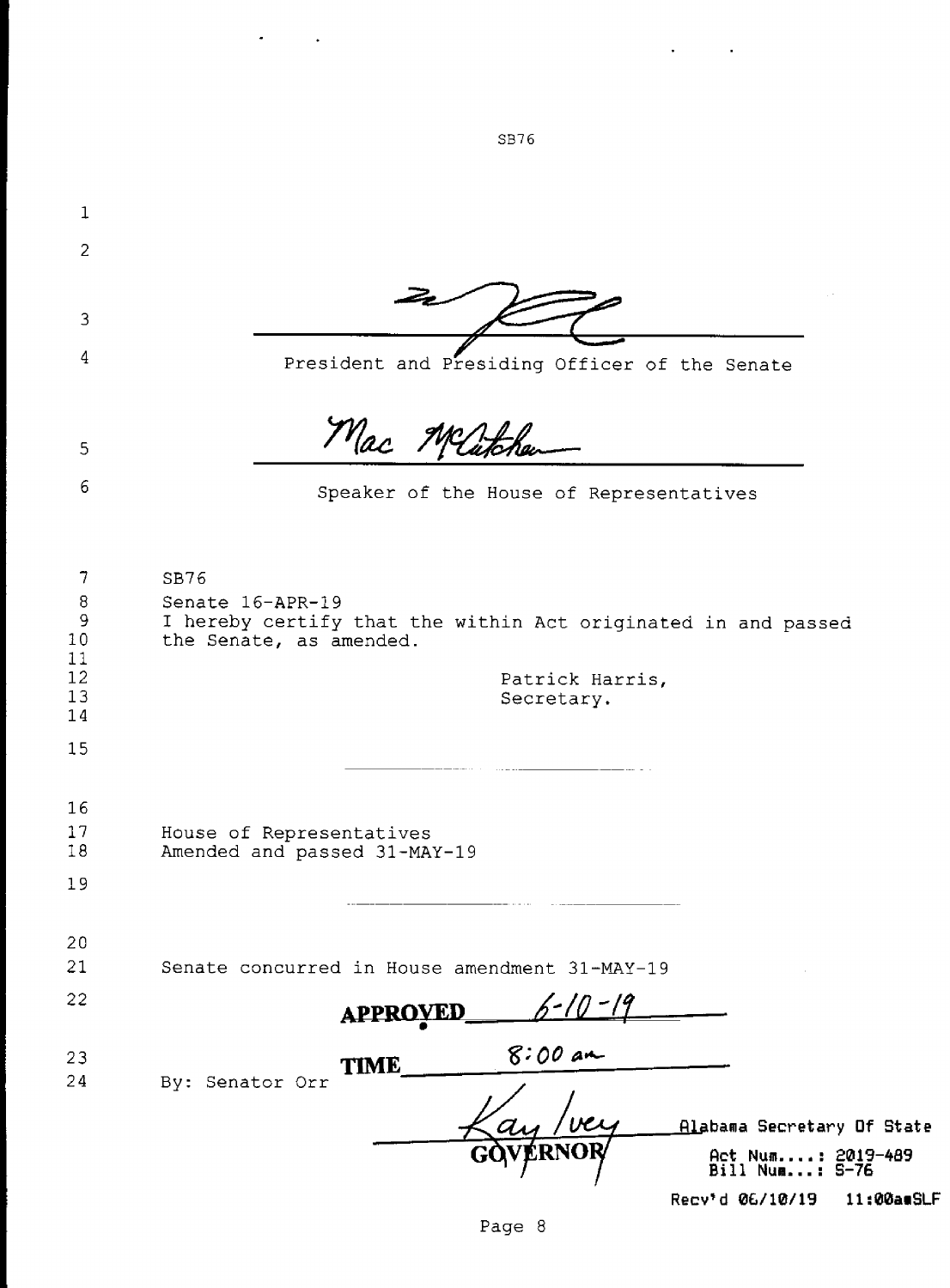| 1                             |                                                                                                                      |
|-------------------------------|----------------------------------------------------------------------------------------------------------------------|
| $\overline{2}$                |                                                                                                                      |
|                               |                                                                                                                      |
| 3                             |                                                                                                                      |
| 4                             | President and Presiding Officer of the Senate                                                                        |
| 5                             | Mac Matchen                                                                                                          |
| 6                             | Speaker of the House of Representatives                                                                              |
|                               |                                                                                                                      |
| 7<br>8<br>9<br>10<br>11<br>12 | SB76<br>Senate 16-APR-19<br>I hereby certify that the within Act originated in and passed<br>the Senate, as amended. |
| 13                            | Patrick Harris,<br>Secretary.                                                                                        |
| 14<br>15                      |                                                                                                                      |
|                               |                                                                                                                      |
| 16                            |                                                                                                                      |
| 17<br>18                      | House of Representatives<br>Amended and passed 31-MAY-19                                                             |
| 19                            |                                                                                                                      |
| 20                            |                                                                                                                      |
| 21                            | Senate concurred in House amendment 31-MAY-19                                                                        |
| 22                            | TED<br><b>APPRO</b>                                                                                                  |
| 23<br>24                      | $8:00$ am<br><b>TIME</b><br>By: Senator Orr                                                                          |
|                               | Alabama Secretary Of State<br>Act Num: 2019-489<br>Bill Num.<br>$: S-76$                                             |
|                               | Recv'd 06/10/19<br>11:00amSLF                                                                                        |

SB76

 $\Delta \phi$  and  $\Delta \phi$  and  $\Delta \phi$ 

 $\sigma_{\rm{eff}}=0.1$